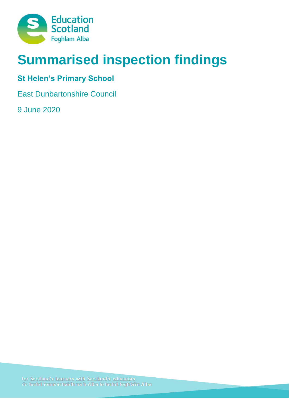

# **Summarised inspection findings**

## **St Helen's Primary School**

East Dunbartonshire Council

9 June 2020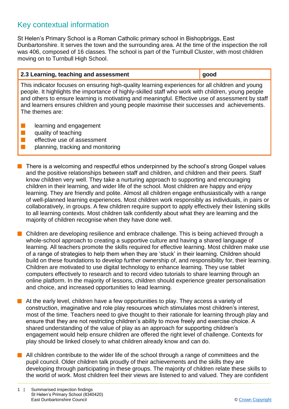### Key contextual information

St Helen's Primary School is a Roman Catholic primary school in Bishopbriggs, East Dunbartonshire. It serves the town and the surrounding area. At the time of the inspection the roll was 406, composed of 16 classes. The school is part of the Turnbull Cluster, with most children moving on to Turnbull High School.

#### **2.3 Learning, teaching and assessment good**

This indicator focuses on ensuring high-quality learning experiences for all children and young people. It highlights the importance of highly-skilled staff who work with children, young people and others to ensure learning is motivating and meaningful. Effective use of assessment by staff and learners ensures children and young people maximise their successes and achievements. The themes are:

- $\blacksquare$  learning and engagement
- $\blacksquare$  quality of teaching
- $\blacksquare$  effective use of assessment
- $\blacksquare$  planning, tracking and monitoring
- There is a welcoming and respectful ethos underpinned by the school's strong Gospel values and the positive relationships between staff and children, and children and their peers. Staff know children very well. They take a nurturing approach to supporting and encouraging children in their learning, and wider life of the school. Most children are happy and enjoy learning. They are friendly and polite. Almost all children engage enthusiastically with a range of well-planned learning experiences. Most children work responsibly as individuals, in pairs or collaboratively, in groups. A few children require support to apply effectively their listening skills to all learning contexts. Most children talk confidently about what they are learning and the majority of children recognise when they have done well.
- **n** Children are developing resilience and embrace challenge. This is being achieved through a whole-school approach to creating a supportive culture and having a shared language of learning. All teachers promote the skills required for effective learning. Most children make use of a range of strategies to help them when they are 'stuck' in their learning. Children should build on these foundations to develop further ownership of, and responsibility for, their learning. Children are motivated to use digital technology to enhance learning. They use tablet computers effectively to research and to record video tutorials to share learning through an online platform. In the majority of lessons, children should experience greater personalisation and choice, and increased opportunities to lead learning.
- $\blacksquare$  At the early level, children have a few opportunities to play. They access a variety of construction, imaginative and role play resources which stimulates most children's interest, most of the time. Teachers need to give thought to their rationale for learning through play and ensure that they are not restricting children's ability to move freely and exercise choice. A shared understanding of the value of play as an approach for supporting children's engagement would help ensure children are offered the right level of challenge. Contexts for play should be linked closely to what children already know and can do.
- $\blacksquare$  All children contribute to the wider life of the school through a range of committees and the pupil council. Older children talk proudly of their achievements and the skills they are developing through participating in these groups. The majority of children relate these skills to the world of work. Most children feel their views are listened to and valued. They are confident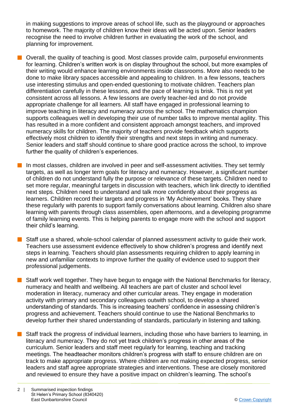in making suggestions to improve areas of school life, such as the playground or approaches to homework. The majority of children know their ideas will be acted upon. Senior leaders recognise the need to involve children further in evaluating the work of the school, and planning for improvement.

- $\blacksquare$  Overall, the quality of teaching is good. Most classes provide calm, purposeful environments for learning. Children's written work is on display throughout the school, but more examples of their writing would enhance learning environments inside classrooms. More also needs to be done to make library spaces accessible and appealing to children. In a few lessons, teachers use interesting stimulus and open-ended questioning to motivate children. Teachers plan differentiation carefully in these lessons, and the pace of learning is brisk. This is not yet consistent across all lessons. A few lessons are overly teacher-led and do not provide appropriate challenge for all learners. All staff have engaged in professional learning to improve teaching in literacy and numeracy across the school. The mathematics champion supports colleagues well in developing their use of number talks to improve mental agility. This has resulted in a more confident and consistent approach amongst teachers, and improved numeracy skills for children. The majority of teachers provide feedback which supports effectively most children to identify their strengths and next steps in writing and numeracy. Senior leaders and staff should continue to share good practice across the school, to improve further the quality of children's experiences.
	- In most classes, children are involved in peer and self-assessment activities. They set termly targets, as well as longer term goals for literacy and numeracy. However, a significant number of children do not understand fully the purpose or relevance of these targets. Children need to set more regular, meaningful targets in discussion with teachers, which link directly to identified next steps. Children need to understand and talk more confidently about their progress as learners. Children record their targets and progress in 'My Achievement' books. They share these regularly with parents to support family conversations about learning. Children also share learning with parents through class assemblies, open afternoons, and a developing programme of family learning events. This is helping parents to engage more with the school and support their child's learning.
- Staff use a shared, whole-school calendar of planned assessment activity to quide their work. Teachers use assessment evidence effectively to show children's progress and identify next steps in learning. Teachers should plan assessments requiring children to apply learning in new and unfamiliar contexts to improve further the quality of evidence used to support their professional judgements.
- Staff work well together. They have begun to engage with the National Benchmarks for literacy, numeracy and health and wellbeing. All teachers are part of cluster and school level moderation in literacy, numeracy and other curricular areas. They engage in moderation activity with primary and secondary colleagues outwith school, to develop a shared understanding of standards. This is increasing teachers' confidence in assessing children's progress and achievement. Teachers should continue to use the National Benchmarks to develop further their shared understanding of standards, particularly in listening and talking.
- Staff track the progress of individual learners, including those who have barriers to learning, in literacy and numeracy. They do not yet track children's progress in other areas of the curriculum. Senior leaders and staff meet regularly for learning, teaching and tracking meetings. The headteacher monitors children's progress with staff to ensure children are on track to make appropriate progress. Where children are not making expected progress, senior leaders and staff agree appropriate strategies and interventions. These are closely monitored and reviewed to ensure they have a positive impact on children's learning. The school's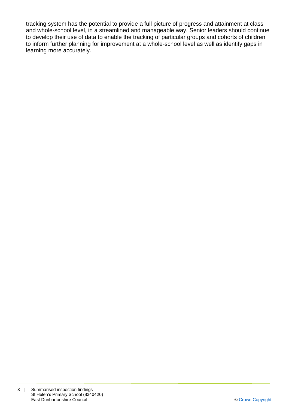tracking system has the potential to provide a full picture of progress and attainment at class and whole-school level, in a streamlined and manageable way. Senior leaders should continue to develop their use of data to enable the tracking of particular groups and cohorts of children to inform further planning for improvement at a whole-school level as well as identify gaps in learning more accurately.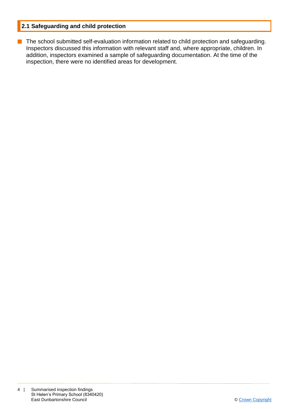#### **2.1 Safeguarding and child protection**

**n** The school submitted self-evaluation information related to child protection and safeguarding. Inspectors discussed this information with relevant staff and, where appropriate, children. In addition, inspectors examined a sample of safeguarding documentation. At the time of the inspection, there were no identified areas for development.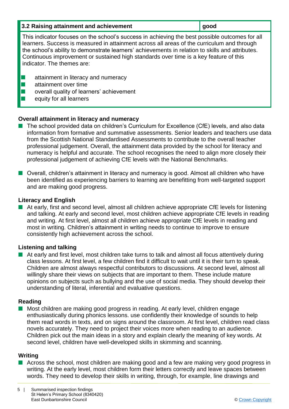| 3.2 Raising attainment and achievement                                                                                                                                                                                                                                                                                                                                                                                  | good |
|-------------------------------------------------------------------------------------------------------------------------------------------------------------------------------------------------------------------------------------------------------------------------------------------------------------------------------------------------------------------------------------------------------------------------|------|
| This indicator focuses on the school's success in achieving the best possible outcomes for all<br>learners. Success is measured in attainment across all areas of the curriculum and through<br>the school's ability to demonstrate learners' achievements in relation to skills and attributes.<br>Continuous improvement or sustained high standards over time is a key feature of this<br>indicator. The themes are: |      |
| attainment in literacy and numeracy<br>attainment over time<br>overall quality of learners' achievement<br>equity for all learners                                                                                                                                                                                                                                                                                      |      |

#### **Overall attainment in literacy and numeracy**

- The school provided data on children's Curriculum for Excellence (CfE) levels, and also data information from formative and summative assessments. Senior leaders and teachers use data from the Scottish National Standardised Assessments to contribute to the overall teacher professional judgement. Overall, the attainment data provided by the school for literacy and numeracy is helpful and accurate. The school recognises the need to align more closely their professional judgement of achieving CfE levels with the National Benchmarks.
- n Overall, children's attainment in literacy and numeracy is good. Almost all children who have been identified as experiencing barriers to learning are benefitting from well-targeted support and are making good progress.

#### **Literacy and English**

At early, first and second level, almost all children achieve appropriate CfE levels for listening and talking. At early and second level, most children achieve appropriate CfE levels in reading and writing. At first level, almost all children achieve appropriate CfE levels in reading and most in writing. Children's attainment in writing needs to continue to improve to ensure consistently high achievement across the school.

#### **Listening and talking**

 $\blacksquare$  At early and first level, most children take turns to talk and almost all focus attentively during class lessons. At first level, a few children find it difficult to wait until it is their turn to speak. Children are almost always respectful contributors to discussions. At second level, almost all willingly share their views on subjects that are important to them. These include mature opinions on subjects such as bullying and the use of social media. They should develop their understanding of literal, inferential and evaluative questions.

#### **Reading**

■ Most children are making good progress in reading. At early level, children engage enthusiastically during phonics lessons. use confidently their knowledge of sounds to help them read words in texts, and on signs around the classroom. At first level, children read class novels accurately. They need to project their voices more when reading to an audience. Children pick out the main ideas in a story and explain clearly the meaning of key words. At second level, children have well-developed skills in skimming and scanning.

#### **Writing**

■ Across the school, most children are making good and a few are making very good progress in writing. At the early level, most children form their letters correctly and leave spaces between words. They need to develop their skills in writing, through, for example, line drawings and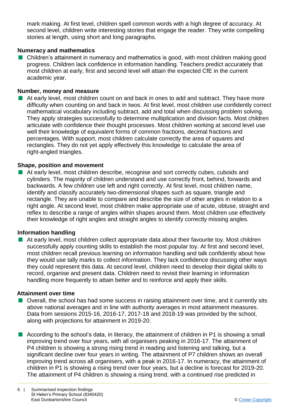mark making. At first level, children spell common words with a high degree of accuracy. At second level, children write interesting stories that engage the reader. They write compelling stories at length, using short and long paragraphs.

#### **Numeracy and mathematics**

■ Children's attainment in numeracy and mathematics is good, with most children making good progress. Children lack confidence in information handling. Teachers predict accurately that most children at early, first and second level will attain the expected CfE in the current academic year.

#### **Number, money and measure**

At early level, most children count on and back in ones to add and subtract. They have more difficulty when counting on and back in twos. At first level, most children use confidently correct mathematical vocabulary including subtract, add and total when discussing problem solving. They apply strategies successfully to determine multiplication and division facts. Most children articulate with confidence their thought processes. Most children working at second level use well their knowledge of equivalent forms of common fractions, decimal fractions and percentages. With support, most children calculate correctly the area of squares and rectangles. They do not yet apply effectively this knowledge to calculate the area of right-angled triangles.

#### **Shape, position and movement**

■ At early level, most children describe, recognise and sort correctly cubes, cuboids and cylinders. The majority of children understand and use correctly front, behind, forwards and backwards. A few children use left and right correctly. At first level, most children name, identify and classify accurately two-dimensional shapes such as square, triangle and rectangle. They are unable to compare and describe the size of other angles in relation to a right angle. At second level, most children make appropriate use of acute, obtuse, straight and reflex to describe a range of angles within shapes around them. Most children use effectively their knowledge of right angles and straight angles to identify correctly missing angles.

#### **Information handling**

■ At early level, most children collect appropriate data about their favourite toy. Most children successfully apply counting skills to establish the most popular toy. At first and second level, most children recall previous learning on information handling and talk confidently about how they would use tally marks to collect information. They lack confidence discussing other ways they could represent this data. At second level, children need to develop their digital skills to record, organise and present data. Children need to revisit their learning in information handling more frequently to attain better and to reinforce and apply their skills.

#### **Attainment over time**

- n Overall, the school has had some success in raising attainment over time, and it currently sits above national averages and in line with authority averages in most attainment measures. Data from sessions 2015-16, 2016-17, 2017-18 and 2018-19 was provided by the school, along with projections for attainment in 2019-20.
- According to the school's data, in literacy, the attainment of children in P1 is showing a small improving trend over four years, with all organisers peaking in 2016-17. The attainment of P4 children is showing a strong rising trend in reading and listening and talking, but a significant decline over four years in writing. The attainment of P7 children shows an overall improving trend across all organisers, with a peak in 2016-17. In numeracy, the attainment of children in P1 is showing a rising trend over four years, but a decline is forecast for 2019-20. The attainment of P4 children is showing a rising trend, with a continued rise predicted in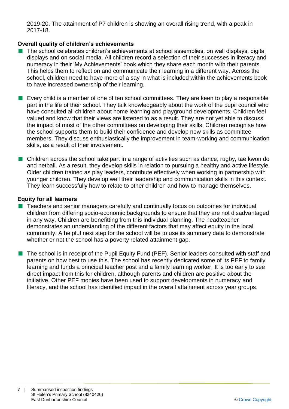2019-20. The attainment of P7 children is showing an overall rising trend, with a peak in 2017-18.

#### **Overall quality of children's achievements**

- n The school celebrates children's achievements at school assemblies, on wall displays, digital displays and on social media. All children record a selection of their successes in literacy and numeracy in their 'My Achievements' book which they share each month with their parents. This helps them to reflect on and communicate their learning in a different way. Across the school, children need to have more of a say in what is included within the achievements book to have increased ownership of their learning.
- $\blacksquare$  Every child is a member of one of ten school committees. They are keen to play a responsible part in the life of their school. They talk knowledgeably about the work of the pupil council who have consulted all children about home learning and playground developments. Children feel valued and know that their views are listened to as a result. They are not yet able to discuss the impact of most of the other committees on developing their skills. Children recognise how the school supports them to build their confidence and develop new skills as committee members. They discuss enthusiastically the improvement in team-working and communication skills, as a result of their involvement.
- $\blacksquare$  Children across the school take part in a range of activities such as dance, rugby, tae kwon do and netball. As a result, they develop skills in relation to pursuing a healthy and active lifestyle. Older children trained as play leaders, contribute effectively when working in partnership with younger children. They develop well their leadership and communication skills in this context. They learn successfully how to relate to other children and how to manage themselves.

#### **Equity for all learners**

- n Teachers and senior managers carefully and continually focus on outcomes for individual children from differing socio-economic backgrounds to ensure that they are not disadvantaged in any way. Children are benefitting from this individual planning. The headteacher demonstrates an understanding of the different factors that may affect equity in the local community. A helpful next step for the school will be to use its summary data to demonstrate whether or not the school has a poverty related attainment gap.
- $\blacksquare$  The school is in receipt of the Pupil Equity Fund (PEF). Senior leaders consulted with staff and parents on how best to use this. The school has recently dedicated some of its PEF to family learning and funds a principal teacher post and a family learning worker. It is too early to see direct impact from this for children, although parents and children are positive about the initiative. Other PEF monies have been used to support developments in numeracy and literacy, and the school has identified impact in the overall attainment across year groups.